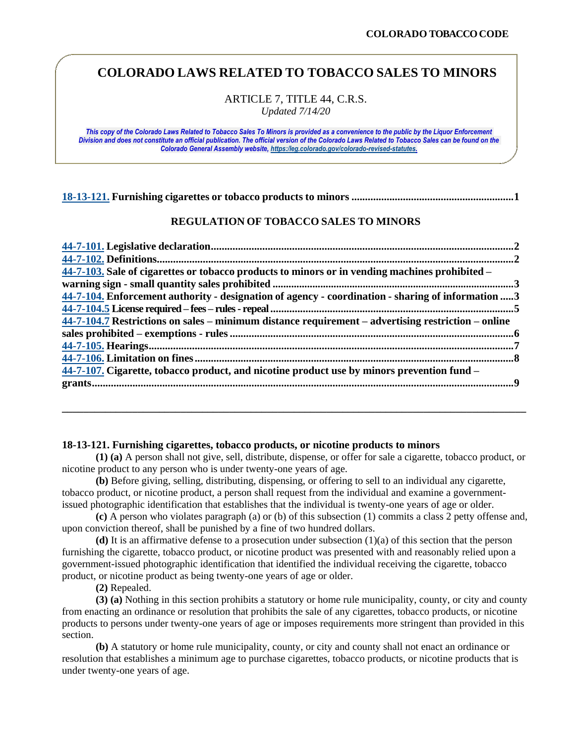# **COLORADO LAWS RELATED TO TOBACCO SALES TO MINORS**

ARTICLE 7, TITLE 44, C.R.S. *Updated 7/14/20*

*This copy of the Colorado Laws Related to Tobacco Sales To Minors is provided as a convenience to the public by the Liquor Enforcement Division and does not constitute an official publication. The official version of the Colorado Laws Related to Tobacco Sales can be found on the Colorado General Assembly website[, https:/leg.colorado.gov/colorado-revised-statutes.](https://leg.colorado.gov/colorado-revised-statutes)*

## **REGULATION OF TOBACCO SALES TO MINORS**

| 44-7-103. Sale of cigarettes or tobacco products to minors or in vending machines prohibited –     |  |
|----------------------------------------------------------------------------------------------------|--|
|                                                                                                    |  |
| 44-7-104. Enforcement authority - designation of agency - coordination - sharing of information 3  |  |
|                                                                                                    |  |
| 44-7-104.7 Restrictions on sales – minimum distance requirement – advertising restriction – online |  |
|                                                                                                    |  |
|                                                                                                    |  |
|                                                                                                    |  |
| 44-7-107. Cigarette, tobacco product, and nicotine product use by minors prevention fund –         |  |
|                                                                                                    |  |

#### <span id="page-0-0"></span>**18-13-121. Furnishing cigarettes, tobacco products, or nicotine products to minors**

**(1) (a)** A person shall not give, sell, distribute, dispense, or offer for sale a cigarette, tobacco product, or nicotine product to any person who is under twenty-one years of age.

**\_\_\_\_\_\_\_\_\_\_\_\_\_\_\_\_\_\_\_\_\_\_\_\_\_\_\_\_\_\_\_\_\_\_\_\_\_\_\_\_\_\_\_\_\_\_\_\_\_\_\_\_\_\_\_\_\_\_\_\_\_\_\_\_\_\_\_\_\_\_\_\_\_\_\_\_\_\_\_\_\_\_\_\_\_\_** 

**(b)** Before giving, selling, distributing, dispensing, or offering to sell to an individual any cigarette, tobacco product, or nicotine product, a person shall request from the individual and examine a governmentissued photographic identification that establishes that the individual is twenty-one years of age or older.

**(c)** A person who violates paragraph (a) or (b) of this subsection (1) commits a class 2 petty offense and, upon conviction thereof, shall be punished by a fine of two hundred dollars.

**(d)** It is an affirmative defense to a prosecution under subsection (1)(a) of this section that the person furnishing the cigarette, tobacco product, or nicotine product was presented with and reasonably relied upon a government-issued photographic identification that identified the individual receiving the cigarette, tobacco product, or nicotine product as being twenty-one years of age or older.

**(2)** Repealed.

**(3) (a)** Nothing in this section prohibits a statutory or home rule municipality, county, or city and county from enacting an ordinance or resolution that prohibits the sale of any cigarettes, tobacco products, or nicotine products to persons under twenty-one years of age or imposes requirements more stringent than provided in this section.

**(b)** A statutory or home rule municipality, county, or city and county shall not enact an ordinance or resolution that establishes a minimum age to purchase cigarettes, tobacco products, or nicotine products that is under twenty-one years of age.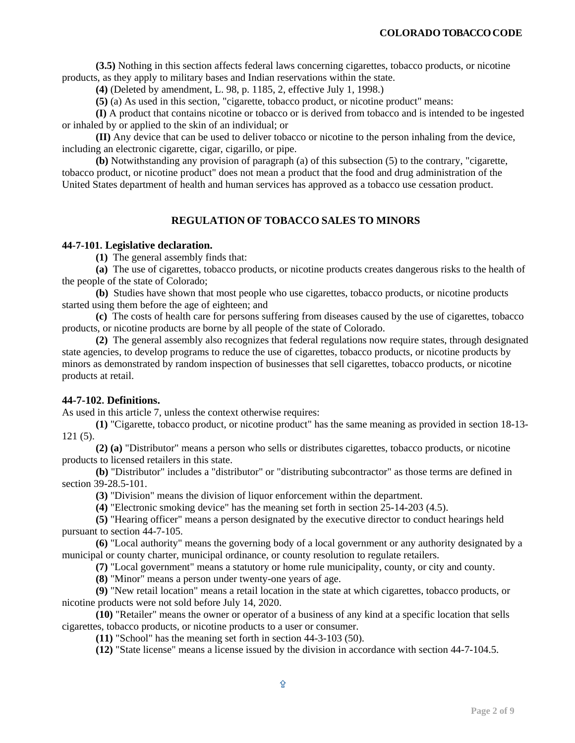**(3.5)** Nothing in this section affects federal laws concerning cigarettes, tobacco products, or nicotine products, as they apply to military bases and Indian reservations within the state.

**(4)** (Deleted by amendment, L. 98, p. 1185, 2, effective July 1, 1998.)

**(5)** (a) As used in this section, "cigarette, tobacco product, or nicotine product" means:

**(I)** A product that contains nicotine or tobacco or is derived from tobacco and is intended to be ingested or inhaled by or applied to the skin of an individual; or

**(II)** Any device that can be used to deliver tobacco or nicotine to the person inhaling from the device, including an electronic cigarette, cigar, cigarillo, or pipe.

**(b)** Notwithstanding any provision of paragraph (a) of this subsection (5) to the contrary, "cigarette, tobacco product, or nicotine product" does not mean a product that the food and drug administration of the United States department of health and human services has approved as a tobacco use cessation product.

# **REGULATION OF TOBACCO SALES TO MINORS**

#### <span id="page-1-0"></span>**44-7-101. Legislative declaration.**

**(1)** The general assembly finds that:

**(a)** The use of cigarettes, tobacco products, or nicotine products creates dangerous risks to the health of the people of the state of Colorado;

**(b)** Studies have shown that most people who use cigarettes, tobacco products, or nicotine products started using them before the age of eighteen; and

**(c)** The costs of health care for persons suffering from diseases caused by the use of cigarettes, tobacco products, or nicotine products are borne by all people of the state of Colorado.

**(2)** The general assembly also recognizes that federal regulations now require states, through designated state agencies, to develop programs to reduce the use of cigarettes, tobacco products, or nicotine products by minors as demonstrated by random inspection of businesses that sell cigarettes, tobacco products, or nicotine products at retail.

## <span id="page-1-1"></span>**44-7-102. Definitions.**

As used in this article 7, unless the context otherwise requires:

**(1)** "Cigarette, tobacco product, or nicotine product" has the same meaning as provided in section 18-13- 121 (5).

**(2) (a)** "Distributor" means a person who sells or distributes cigarettes, tobacco products, or nicotine products to licensed retailers in this state.

**(b)** "Distributor" includes a "distributor" or "distributing subcontractor" as those terms are defined in section 39-28.5-101.

**(3)** "Division" means the division of liquor enforcement within the department.

**(4)** "Electronic smoking device" has the meaning set forth in section 25-14-203 (4.5).

**(5)** "Hearing officer" means a person designated by the executive director to conduct hearings held pursuant to section 44-7-105.

**(6)** "Local authority" means the governing body of a local government or any authority designated by a municipal or county charter, municipal ordinance, or county resolution to regulate retailers.

**(7)** "Local government" means a statutory or home rule municipality, county, or city and county.

**(8)** "Minor" means a person under twenty-one years of age.

**(9)** "New retail location" means a retail location in the state at which cigarettes, tobacco products, or nicotine products were not sold before July 14, 2020.

**(10)** "Retailer" means the owner or operator of a business of any kind at a specific location that sells cigarettes, tobacco products, or nicotine products to a user or consumer.

**(11)** "School" has the meaning set forth in section 44-3-103 (50).

**(12)** "State license" means a license issued by the division in accordance with section 44-7-104.5.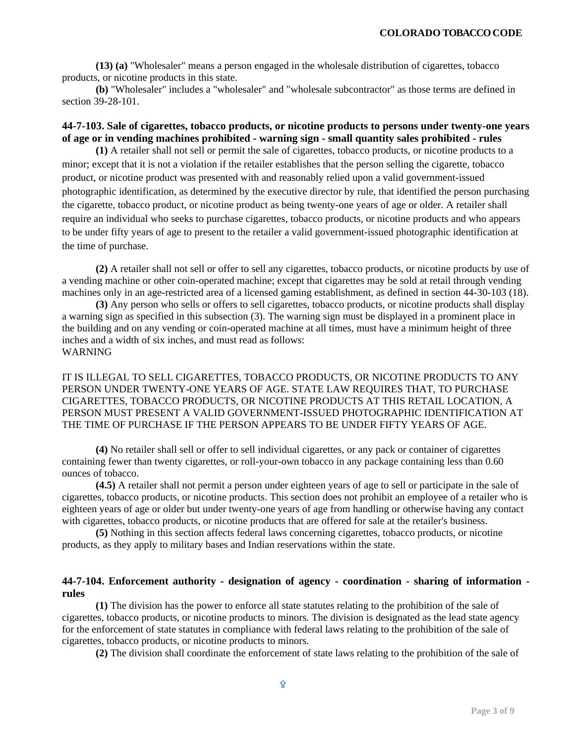**(13) (a)** "Wholesaler" means a person engaged in the wholesale distribution of cigarettes, tobacco products, or nicotine products in this state.

**(b)** "Wholesaler" includes a "wholesaler" and "wholesale subcontractor" as those terms are defined in section 39-28-101.

# <span id="page-2-0"></span>**44-7-103. Sale of cigarettes, tobacco products, or nicotine products to persons under twenty-one years of age or in vending machines prohibited - warning sign - small quantity sales prohibited - rules**

<span id="page-2-1"></span>**(1)** A retailer shall not sell or permit the sale of cigarettes, tobacco products, or nicotine products to a minor; except that it is not a violation if the retailer establishes that the person selling the cigarette, tobacco product, or nicotine product was presented with and reasonably relied upon a valid government-issued photographic identification, as determined by the executive director by rule, that identified the person purchasing the cigarette, tobacco product, or nicotine product as being twenty-one years of age or older. A retailer shall require an individual who seeks to purchase cigarettes, tobacco products, or nicotine products and who appears to be under fifty years of age to present to the retailer a valid government-issued photographic identification at the time of purchase.

**(2)** A retailer shall not sell or offer to sell any cigarettes, tobacco products, or nicotine products by use of a vending machine or other coin-operated machine; except that cigarettes may be sold at retail through vending machines only in an age-restricted area of a licensed gaming establishment, as defined in section 44-30-103 (18).

**(3)** Any person who sells or offers to sell cigarettes, tobacco products, or nicotine products shall display a warning sign as specified in this subsection (3). The warning sign must be displayed in a prominent place in the building and on any vending or coin-operated machine at all times, must have a minimum height of three inches and a width of six inches, and must read as follows: WARNING

## IT IS ILLEGAL TO SELL CIGARETTES, TOBACCO PRODUCTS, OR NICOTINE PRODUCTS TO ANY PERSON UNDER TWENTY-ONE YEARS OF AGE. STATE LAW REQUIRES THAT, TO PURCHASE CIGARETTES, TOBACCO PRODUCTS, OR NICOTINE PRODUCTS AT THIS RETAIL LOCATION, A PERSON MUST PRESENT A VALID GOVERNMENT-ISSUED PHOTOGRAPHIC IDENTIFICATION AT THE TIME OF PURCHASE IF THE PERSON APPEARS TO BE UNDER FIFTY YEARS OF AGE.

**(4)** No retailer shall sell or offer to sell individual cigarettes, or any pack or container of cigarettes containing fewer than twenty cigarettes, or roll-your-own tobacco in any package containing less than 0.60 ounces of tobacco.

**(4.5)** A retailer shall not permit a person under eighteen years of age to sell or participate in the sale of cigarettes, tobacco products, or nicotine products. This section does not prohibit an employee of a retailer who is eighteen years of age or older but under twenty-one years of age from handling or otherwise having any contact with cigarettes, tobacco products, or nicotine products that are offered for sale at the retailer's business.

**(5)** Nothing in this section affects federal laws concerning cigarettes, tobacco products, or nicotine products, as they apply to military bases and Indian reservations within the state.

# **44-7-104. Enforcement authority - designation of agency - coordination - sharing of information rules**

**(1)** The division has the power to enforce all state statutes relating to the prohibition of the sale of cigarettes, tobacco products, or nicotine products to minors. The division is designated as the lead state agency for the enforcement of state statutes in compliance with federal laws relating to the prohibition of the sale of cigarettes, tobacco products, or nicotine products to minors.

**(2)** The division shall coordinate the enforcement of state laws relating to the prohibition of the sale of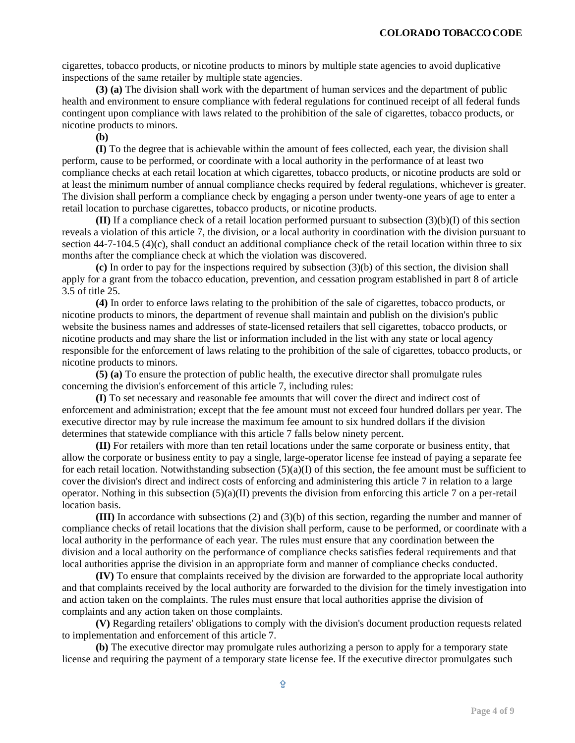cigarettes, tobacco products, or nicotine products to minors by multiple state agencies to avoid duplicative inspections of the same retailer by multiple state agencies.

**(3) (a)** The division shall work with the department of human services and the department of public health and environment to ensure compliance with federal regulations for continued receipt of all federal funds contingent upon compliance with laws related to the prohibition of the sale of cigarettes, tobacco products, or nicotine products to minors.

**(b)**

**(I)** To the degree that is achievable within the amount of fees collected, each year, the division shall perform, cause to be performed, or coordinate with a local authority in the performance of at least two compliance checks at each retail location at which cigarettes, tobacco products, or nicotine products are sold or at least the minimum number of annual compliance checks required by federal regulations, whichever is greater. The division shall perform a compliance check by engaging a person under twenty-one years of age to enter a retail location to purchase cigarettes, tobacco products, or nicotine products.

**(II)** If a compliance check of a retail location performed pursuant to subsection (3)(b)(I) of this section reveals a violation of this article 7, the division, or a local authority in coordination with the division pursuant to section 44-7-104.5 (4)(c), shall conduct an additional compliance check of the retail location within three to six months after the compliance check at which the violation was discovered.

**(c)** In order to pay for the inspections required by subsection (3)(b) of this section, the division shall apply for a grant from the tobacco education, prevention, and cessation program established in part 8 of article 3.5 of title 25.

**(4)** In order to enforce laws relating to the prohibition of the sale of cigarettes, tobacco products, or nicotine products to minors, the department of revenue shall maintain and publish on the division's public website the business names and addresses of state-licensed retailers that sell cigarettes, tobacco products, or nicotine products and may share the list or information included in the list with any state or local agency responsible for the enforcement of laws relating to the prohibition of the sale of cigarettes, tobacco products, or nicotine products to minors.

**(5) (a)** To ensure the protection of public health, the executive director shall promulgate rules concerning the division's enforcement of this article 7, including rules:

**(I)** To set necessary and reasonable fee amounts that will cover the direct and indirect cost of enforcement and administration; except that the fee amount must not exceed four hundred dollars per year. The executive director may by rule increase the maximum fee amount to six hundred dollars if the division determines that statewide compliance with this article 7 falls below ninety percent.

**(II)** For retailers with more than ten retail locations under the same corporate or business entity, that allow the corporate or business entity to pay a single, large-operator license fee instead of paying a separate fee for each retail location. Notwithstanding subsection  $(5)(a)(I)$  of this section, the fee amount must be sufficient to cover the division's direct and indirect costs of enforcing and administering this article 7 in relation to a large operator. Nothing in this subsection  $(5)(a)(II)$  prevents the division from enforcing this article 7 on a per-retail location basis.

**(III)** In accordance with subsections (2) and (3)(b) of this section, regarding the number and manner of compliance checks of retail locations that the division shall perform, cause to be performed, or coordinate with a local authority in the performance of each year. The rules must ensure that any coordination between the division and a local authority on the performance of compliance checks satisfies federal requirements and that local authorities apprise the division in an appropriate form and manner of compliance checks conducted.

**(IV)** To ensure that complaints received by the division are forwarded to the appropriate local authority and that complaints received by the local authority are forwarded to the division for the timely investigation into and action taken on the complaints. The rules must ensure that local authorities apprise the division of complaints and any action taken on those complaints.

**(V)** Regarding retailers' obligations to comply with the division's document production requests related to implementation and enforcement of this article 7.

**(b)** The executive director may promulgate rules authorizing a person to apply for a temporary state license and requiring the payment of a temporary state license fee. If the executive director promulgates such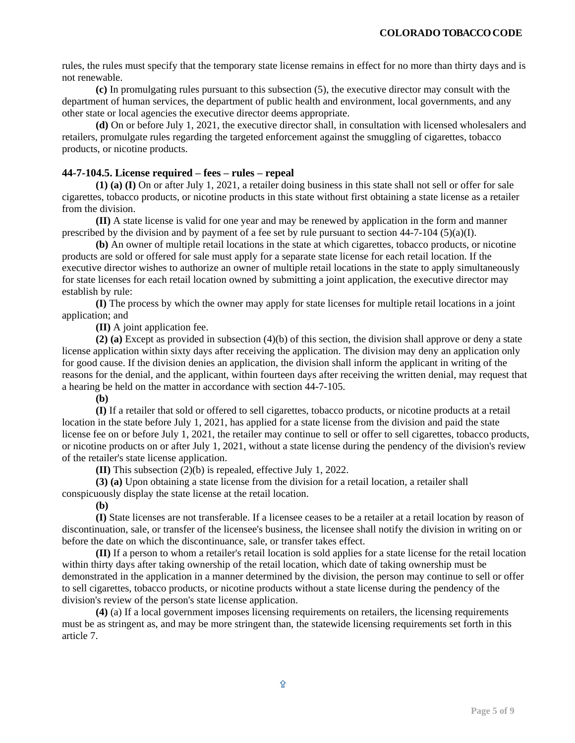rules, the rules must specify that the temporary state license remains in effect for no more than thirty days and is not renewable.

**(c)** In promulgating rules pursuant to this subsection (5), the executive director may consult with the department of human services, the department of public health and environment, local governments, and any other state or local agencies the executive director deems appropriate.

**(d)** On or before July 1, 2021, the executive director shall, in consultation with licensed wholesalers and retailers, promulgate rules regarding the targeted enforcement against the smuggling of cigarettes, tobacco products, or nicotine products.

#### <span id="page-4-0"></span>**44-7-104.5. License required – fees – rules – repeal**

**(1) (a) (I)** On or after July 1, 2021, a retailer doing business in this state shall not sell or offer for sale cigarettes, tobacco products, or nicotine products in this state without first obtaining a state license as a retailer from the division.

**(II)** A state license is valid for one year and may be renewed by application in the form and manner prescribed by the division and by payment of a fee set by rule pursuant to section  $44-7-104$  (5)(a)(I).

**(b)** An owner of multiple retail locations in the state at which cigarettes, tobacco products, or nicotine products are sold or offered for sale must apply for a separate state license for each retail location. If the executive director wishes to authorize an owner of multiple retail locations in the state to apply simultaneously for state licenses for each retail location owned by submitting a joint application, the executive director may establish by rule:

**(I)** The process by which the owner may apply for state licenses for multiple retail locations in a joint application; and

**(II)** A joint application fee.

**(2) (a)** Except as provided in subsection (4)(b) of this section, the division shall approve or deny a state license application within sixty days after receiving the application. The division may deny an application only for good cause. If the division denies an application, the division shall inform the applicant in writing of the reasons for the denial, and the applicant, within fourteen days after receiving the written denial, may request that a hearing be held on the matter in accordance with section 44-7-105.

**(b)**

**(I)** If a retailer that sold or offered to sell cigarettes, tobacco products, or nicotine products at a retail location in the state before July 1, 2021, has applied for a state license from the division and paid the state license fee on or before July 1, 2021, the retailer may continue to sell or offer to sell cigarettes, tobacco products, or nicotine products on or after July 1, 2021, without a state license during the pendency of the division's review of the retailer's state license application.

**(II)** This subsection (2)(b) is repealed, effective July 1, 2022.

**(3) (a)** Upon obtaining a state license from the division for a retail location, a retailer shall conspicuously display the state license at the retail location.

**(b)**

**(I)** State licenses are not transferable. If a licensee ceases to be a retailer at a retail location by reason of discontinuation, sale, or transfer of the licensee's business, the licensee shall notify the division in writing on or before the date on which the discontinuance, sale, or transfer takes effect.

**(II)** If a person to whom a retailer's retail location is sold applies for a state license for the retail location within thirty days after taking ownership of the retail location, which date of taking ownership must be demonstrated in the application in a manner determined by the division, the person may continue to sell or offer to sell cigarettes, tobacco products, or nicotine products without a state license during the pendency of the division's review of the person's state license application.

**(4)** (a) If a local government imposes licensing requirements on retailers, the licensing requirements must be as stringent as, and may be more stringent than, the statewide licensing requirements set forth in this article 7.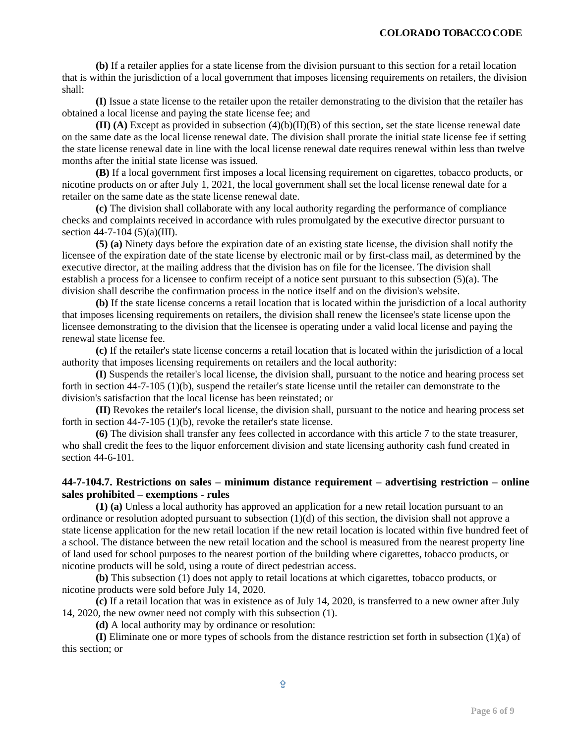**(b)** If a retailer applies for a state license from the division pursuant to this section for a retail location that is within the jurisdiction of a local government that imposes licensing requirements on retailers, the division shall:

**(I)** Issue a state license to the retailer upon the retailer demonstrating to the division that the retailer has obtained a local license and paying the state license fee; and

 $$ on the same date as the local license renewal date. The division shall prorate the initial state license fee if setting the state license renewal date in line with the local license renewal date requires renewal within less than twelve months after the initial state license was issued.

**(B)** If a local government first imposes a local licensing requirement on cigarettes, tobacco products, or nicotine products on or after July 1, 2021, the local government shall set the local license renewal date for a retailer on the same date as the state license renewal date.

**(c)** The division shall collaborate with any local authority regarding the performance of compliance checks and complaints received in accordance with rules promulgated by the executive director pursuant to section 44-7-104 (5)(a)(III).

**(5) (a)** Ninety days before the expiration date of an existing state license, the division shall notify the licensee of the expiration date of the state license by electronic mail or by first-class mail, as determined by the executive director, at the mailing address that the division has on file for the licensee. The division shall establish a process for a licensee to confirm receipt of a notice sent pursuant to this subsection (5)(a). The division shall describe the confirmation process in the notice itself and on the division's website.

**(b)** If the state license concerns a retail location that is located within the jurisdiction of a local authority that imposes licensing requirements on retailers, the division shall renew the licensee's state license upon the licensee demonstrating to the division that the licensee is operating under a valid local license and paying the renewal state license fee.

**(c)** If the retailer's state license concerns a retail location that is located within the jurisdiction of a local authority that imposes licensing requirements on retailers and the local authority:

**(I)** Suspends the retailer's local license, the division shall, pursuant to the notice and hearing process set forth in section 44-7-105 (1)(b), suspend the retailer's state license until the retailer can demonstrate to the division's satisfaction that the local license has been reinstated; or

**(II)** Revokes the retailer's local license, the division shall, pursuant to the notice and hearing process set forth in section 44-7-105 (1)(b), revoke the retailer's state license.

**(6)** The division shall transfer any fees collected in accordance with this article 7 to the state treasurer, who shall credit the fees to the liquor enforcement division and state licensing authority cash fund created in section 44-6-101.

# <span id="page-5-0"></span>**44-7-104.7. Restrictions on sales – minimum distance requirement – advertising restriction – online sales prohibited – exemptions - rules**

**(1) (a)** Unless a local authority has approved an application for a new retail location pursuant to an ordinance or resolution adopted pursuant to subsection  $(1)(d)$  of this section, the division shall not approve a state license application for the new retail location if the new retail location is located within five hundred feet of a school. The distance between the new retail location and the school is measured from the nearest property line of land used for school purposes to the nearest portion of the building where cigarettes, tobacco products, or nicotine products will be sold, using a route of direct pedestrian access.

**(b)** This subsection (1) does not apply to retail locations at which cigarettes, tobacco products, or nicotine products were sold before July 14, 2020.

**(c)** If a retail location that was in existence as of July 14, 2020, is transferred to a new owner after July 14, 2020, the new owner need not comply with this subsection (1).

**(d)** A local authority may by ordinance or resolution:

**(I)** Eliminate one or more types of schools from the distance restriction set forth in subsection (1)(a) of this section; or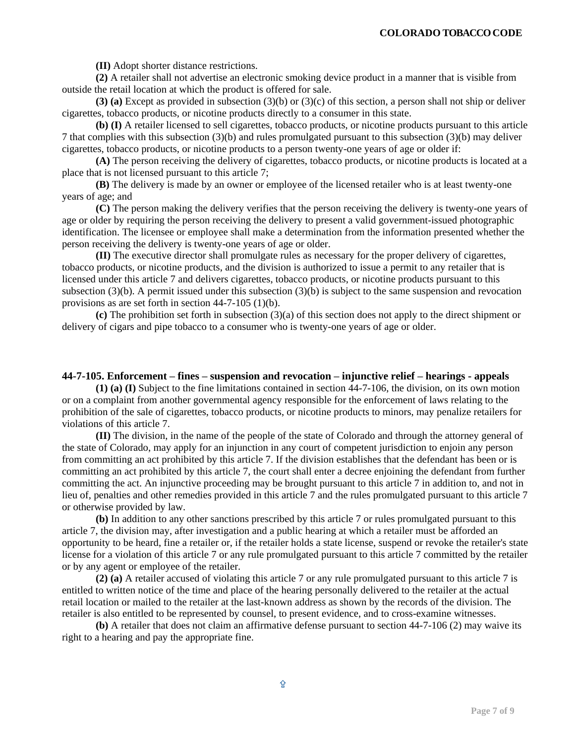**(II)** Adopt shorter distance restrictions.

**(2)** A retailer shall not advertise an electronic smoking device product in a manner that is visible from outside the retail location at which the product is offered for sale.

**(3) (a)** Except as provided in subsection (3)(b) or (3)(c) of this section, a person shall not ship or deliver cigarettes, tobacco products, or nicotine products directly to a consumer in this state.

**(b) (I)** A retailer licensed to sell cigarettes, tobacco products, or nicotine products pursuant to this article 7 that complies with this subsection (3)(b) and rules promulgated pursuant to this subsection (3)(b) may deliver cigarettes, tobacco products, or nicotine products to a person twenty-one years of age or older if:

**(A)** The person receiving the delivery of cigarettes, tobacco products, or nicotine products is located at a place that is not licensed pursuant to this article 7;

**(B)** The delivery is made by an owner or employee of the licensed retailer who is at least twenty-one years of age; and

**(C)** The person making the delivery verifies that the person receiving the delivery is twenty-one years of age or older by requiring the person receiving the delivery to present a valid government-issued photographic identification. The licensee or employee shall make a determination from the information presented whether the person receiving the delivery is twenty-one years of age or older.

**(II)** The executive director shall promulgate rules as necessary for the proper delivery of cigarettes, tobacco products, or nicotine products, and the division is authorized to issue a permit to any retailer that is licensed under this article 7 and delivers cigarettes, tobacco products, or nicotine products pursuant to this subsection (3)(b). A permit issued under this subsection (3)(b) is subject to the same suspension and revocation provisions as are set forth in section 44-7-105 (1)(b).

**(c)** The prohibition set forth in subsection (3)(a) of this section does not apply to the direct shipment or delivery of cigars and pipe tobacco to a consumer who is twenty-one years of age or older.

#### **44-7-105. Enforcement – fines – suspension and revocation – injunctive relief – hearings - appeals**

**(1) (a) (I)** Subject to the fine limitations contained in section 44-7-106, the division, on its own motion or on a complaint from another governmental agency responsible for the enforcement of laws relating to the prohibition of the sale of cigarettes, tobacco products, or nicotine products to minors, may penalize retailers for violations of this article 7.

**(II)** The division, in the name of the people of the state of Colorado and through the attorney general of the state of Colorado, may apply for an injunction in any court of competent jurisdiction to enjoin any person from committing an act prohibited by this article 7. If the division establishes that the defendant has been or is committing an act prohibited by this article 7, the court shall enter a decree enjoining the defendant from further committing the act. An injunctive proceeding may be brought pursuant to this article 7 in addition to, and not in lieu of, penalties and other remedies provided in this article 7 and the rules promulgated pursuant to this article 7 or otherwise provided by law.

**(b)** In addition to any other sanctions prescribed by this article 7 or rules promulgated pursuant to this article 7, the division may, after investigation and a public hearing at which a retailer must be afforded an opportunity to be heard, fine a retailer or, if the retailer holds a state license, suspend or revoke the retailer's state license for a violation of this article 7 or any rule promulgated pursuant to this article 7 committed by the retailer or by any agent or employee of the retailer.

**(2) (a)** A retailer accused of violating this article 7 or any rule promulgated pursuant to this article 7 is entitled to written notice of the time and place of the hearing personally delivered to the retailer at the actual retail location or mailed to the retailer at the last-known address as shown by the records of the division. The retailer is also entitled to be represented by counsel, to present evidence, and to cross-examine witnesses.

**(b)** A retailer that does not claim an affirmative defense pursuant to section 44-7-106 (2) may waive its right to a hearing and pay the appropriate fine.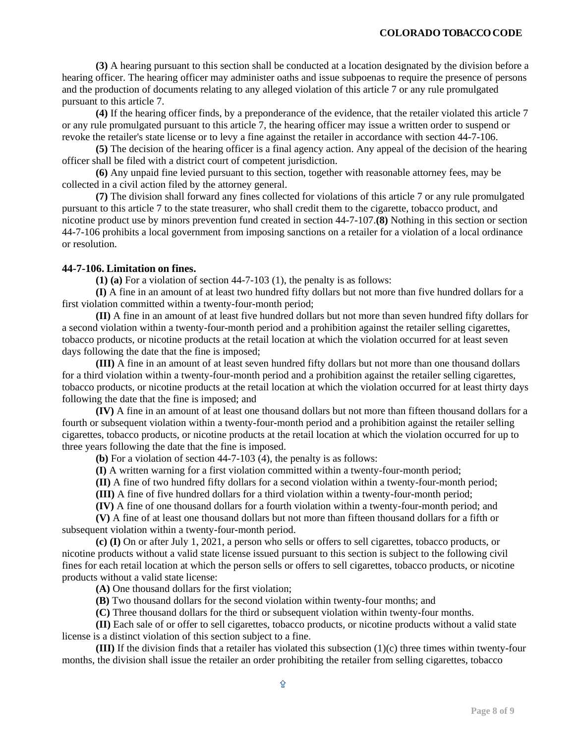**(3)** A hearing pursuant to this section shall be conducted at a location designated by the division before a hearing officer. The hearing officer may administer oaths and issue subpoenas to require the presence of persons and the production of documents relating to any alleged violation of this article 7 or any rule promulgated pursuant to this article 7.

**(4)** If the hearing officer finds, by a preponderance of the evidence, that the retailer violated this article 7 or any rule promulgated pursuant to this article 7, the hearing officer may issue a written order to suspend or revoke the retailer's state license or to levy a fine against the retailer in accordance with section 44-7-106.

**(5)** The decision of the hearing officer is a final agency action. Any appeal of the decision of the hearing officer shall be filed with a district court of competent jurisdiction.

**(6)** Any unpaid fine levied pursuant to this section, together with reasonable attorney fees, may be collected in a civil action filed by the attorney general.

**(7)** The division shall forward any fines collected for violations of this article 7 or any rule promulgated pursuant to this article 7 to the state treasurer, who shall credit them to the cigarette, tobacco product, and nicotine product use by minors prevention fund created in section 44-7-107.**(8)** Nothing in this section or section 44-7-106 prohibits a local government from imposing sanctions on a retailer for a violation of a local ordinance or resolution.

#### <span id="page-7-0"></span>**44-7-106. Limitation on fines.**

**(1) (a)** For a violation of section 44-7-103 (1), the penalty is as follows:

**(I)** A fine in an amount of at least two hundred fifty dollars but not more than five hundred dollars for a first violation committed within a twenty-four-month period;

**(II)** A fine in an amount of at least five hundred dollars but not more than seven hundred fifty dollars for a second violation within a twenty-four-month period and a prohibition against the retailer selling cigarettes, tobacco products, or nicotine products at the retail location at which the violation occurred for at least seven days following the date that the fine is imposed;

**(III)** A fine in an amount of at least seven hundred fifty dollars but not more than one thousand dollars for a third violation within a twenty-four-month period and a prohibition against the retailer selling cigarettes, tobacco products, or nicotine products at the retail location at which the violation occurred for at least thirty days following the date that the fine is imposed; and

**(IV)** A fine in an amount of at least one thousand dollars but not more than fifteen thousand dollars for a fourth or subsequent violation within a twenty-four-month period and a prohibition against the retailer selling cigarettes, tobacco products, or nicotine products at the retail location at which the violation occurred for up to three years following the date that the fine is imposed.

**(b)** For a violation of section 44-7-103 (4), the penalty is as follows:

**(I)** A written warning for a first violation committed within a twenty-four-month period;

**(II)** A fine of two hundred fifty dollars for a second violation within a twenty-four-month period;

**(III)** A fine of five hundred dollars for a third violation within a twenty-four-month period;

**(IV)** A fine of one thousand dollars for a fourth violation within a twenty-four-month period; and

**(V)** A fine of at least one thousand dollars but not more than fifteen thousand dollars for a fifth or subsequent violation within a twenty-four-month period.

**(c) (I)** On or after July 1, 2021, a person who sells or offers to sell cigarettes, tobacco products, or nicotine products without a valid state license issued pursuant to this section is subject to the following civil fines for each retail location at which the person sells or offers to sell cigarettes, tobacco products, or nicotine products without a valid state license:

**(A)** One thousand dollars for the first violation;

**(B)** Two thousand dollars for the second violation within twenty-four months; and

**(C)** Three thousand dollars for the third or subsequent violation within twenty-four months.

**(II)** Each sale of or offer to sell cigarettes, tobacco products, or nicotine products without a valid state license is a distinct violation of this section subject to a fine.

**(III)** If the division finds that a retailer has violated this subsection (1)(c) three times within twenty-four months, the division shall issue the retailer an order prohibiting the retailer from selling cigarettes, tobacco